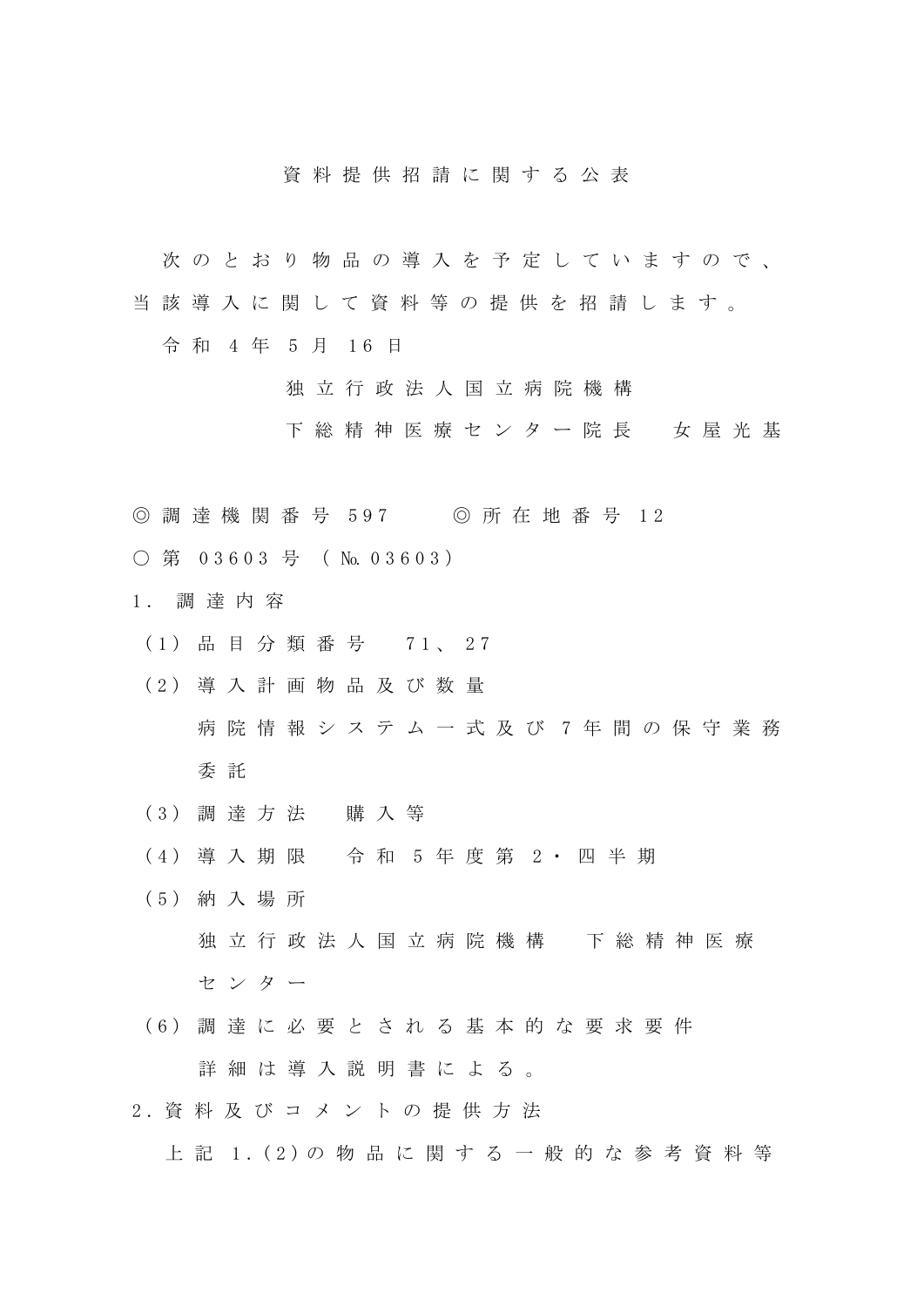## 資 料 提 供 招 請 に 関 す る 公 表

- 次 の と お り 物 品 の 導 入 を 予 定 し て い ま す の で 、
- 当 該 導 入 に 関 し て 資 料 等 の 提 供 を 招 請 し ま す 。
	- 令 和 4 年 5 月 16 日
		- 独 立 行 政 法 人 国 立 病 院 機 構
		- 下 総 精 神 医 療 セ ン タ ー 院 長 女 屋 光 基
- ◎ 調 達 機 関 番 号 597 ◎ 所 在 地 番 号 12
- 第 03603 号 ( № 03603)
- 1 . 調達内容
- (1) 品目分類番号 71、27
- (2) 導 入 計 画 物 品 及 び 数 量 病 院 情 報 シ ス テ ム 一 式 及 び 7 年 間 の 保 守 業 務 委 託
- (3) 調達方法 購 入 等
- (4) 導入期限 令 和 5 年 度 第 2 ・四半期
- (5) 納入場所 独 立 行 政 法 人 国 立 病 院 機 構 下 総 精 神 医 療 センター
- (6) 調 達 に 必 要 と さ れ る 基 本 的 な 要 求 要 件 詳細は導入説明書による。
- 2 . 資 料 及 び コ メ ン ト の 提 供 方 法 上 記 1.(2) の 物 品 に 関 す る 一 般 的 な 参 考 資料等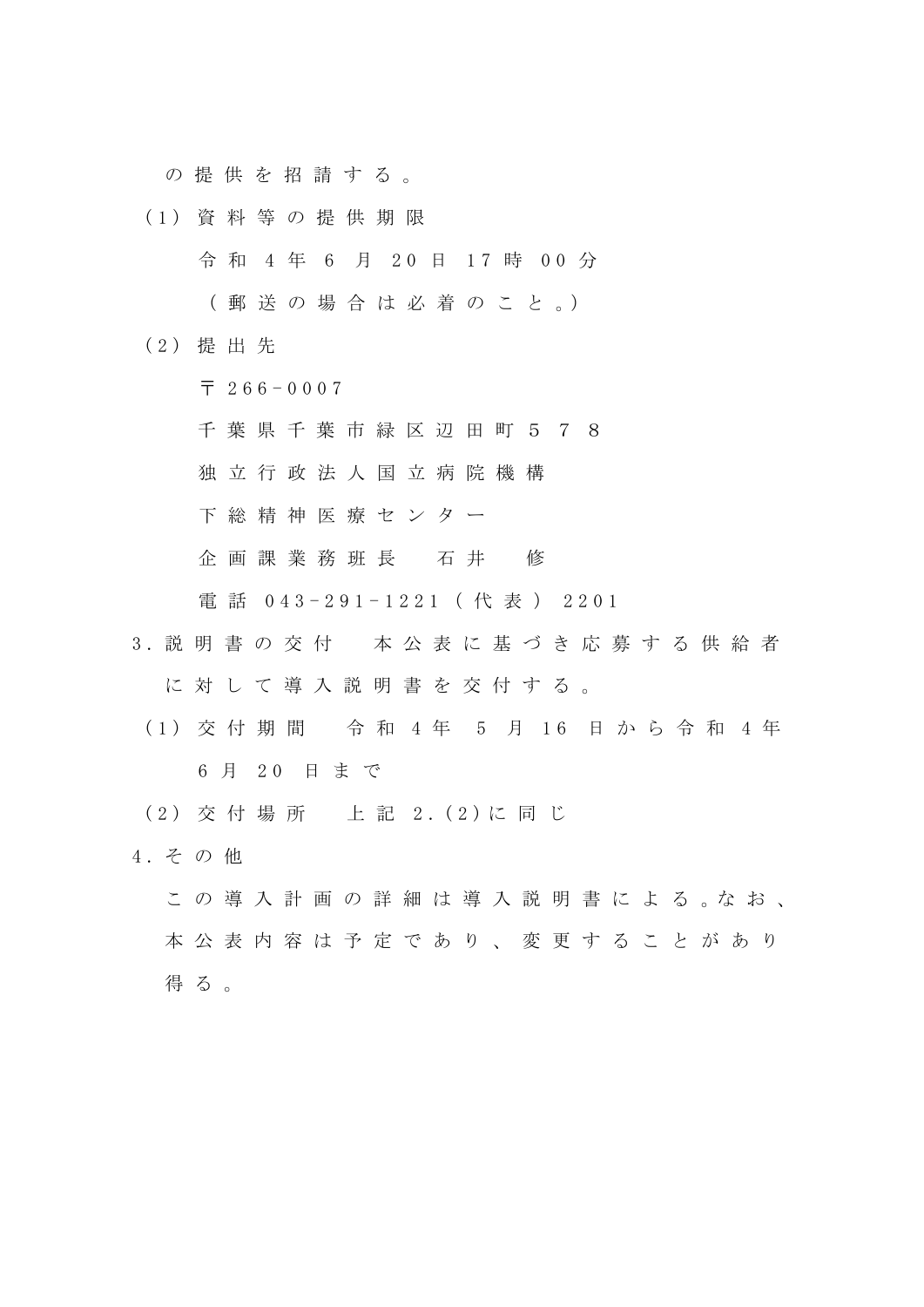の 提 供 を 招 請 す る 。

(1) 資 料 等 の 提 供 期 限

令 和 4 年 6 月 20 日 17 時 00 分

( 郵 送 の 場 合 は 必 着 の こ と 。)

(2) 提出先

 $\overline{7}$  266 - 0007

千 葉 県 千 葉 市 緑 区 辺 田 町 5 7 8

独 立 行 政 法 人 国 立 病 院 機 構

下総精神 医 療 セ ン タ ー

企画課 業務班 長 石 井 修

電話 043-291-1221 (代表) 2201

- 3 . 説明書の交付 本 公 表 に 基 づ き 応 募 す る 供 給 者 に 対 し て 導 入 説 明 書 を 交 付 す る 。
	- (1) 交付期間 令和 4年 5 月 16 日から令和 4年 6 月 2 0 日 ま で
- (2) 交付場所 上記 2. (2)に同じ
- 4. その他
	- こ の 導 入 計 画 の 詳 細 は 導 入 説 明 書 に よ る 。な お 、 本 公 表 内 容 は 予 定 で あ り 、 変 更 す る こ と が あ り 得る。